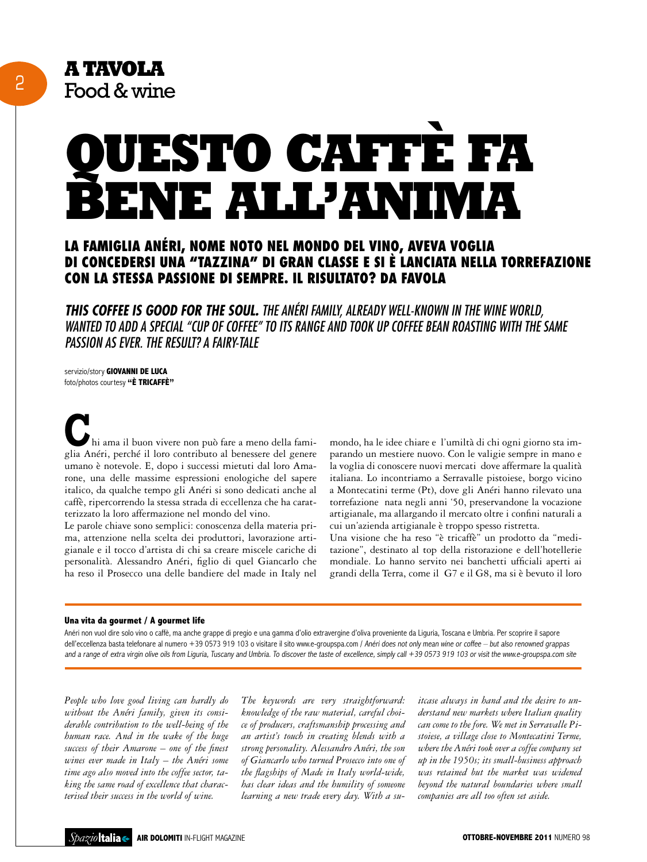# **Questo caffè fa bene all'anima**

# La famiglia Anéri, nome noto nel mondo del vino, aveva voglia di concedersi una "tazzina" di gran classe e si è lanciata nella torrefazione con la stessa passione di sempre. Il risultato? Da favola

*This coffee is good for the soul. The Anéri family, already well-known in the wine world, wanted to add a special "cup of coffee" to its range and took up coffee bean roasting with the same passion as ever. The result? A fairy-tale*

servizio/story **GIOVANNI DE LUCA** foto/photos courtesy **"è tricaffè"**

hi ama il buon vivere non può fare a meno della famihi ama il buon vivere non può fare a meno della famiglia Anéri, perché il loro contributo al benessere del genere umano è notevole. E, dopo i successi mietuti dal loro Amarone, una delle massime espressioni enologiche del sapere italico, da qualche tempo gli Anéri si sono dedicati anche al caffè, ripercorrendo la stessa strada di eccellenza che ha caratterizzato la loro affermazione nel mondo del vino.

Le parole chiave sono semplici: conoscenza della materia prima, attenzione nella scelta dei produttori, lavorazione artigianale e il tocco d'artista di chi sa creare miscele cariche di personalità. Alessandro Anéri, figlio di quel Giancarlo che ha reso il Prosecco una delle bandiere del made in Italy nel

mondo, ha le idee chiare e l'umiltà di chi ogni giorno sta imparando un mestiere nuovo. Con le valigie sempre in mano e la voglia di conoscere nuovi mercati dove affermare la qualità italiana. Lo incontriamo a Serravalle pistoiese, borgo vicino a Montecatini terme (Pt), dove gli Anéri hanno rilevato una torrefazione nata negli anni '50, preservandone la vocazione artigianale, ma allargando il mercato oltre i confini naturali a cui un'azienda artigianale è troppo spesso ristretta.

Una visione che ha reso "è tricaffè" un prodotto da "meditazione", destinato al top della ristorazione e dell'hotellerie mondiale. Lo hanno servito nei banchetti ufficiali aperti ai grandi della Terra, come il G7 e il G8, ma si è bevuto il loro

### **Una vita da gourmet / A gourmet life**

Anéri non vuol dire solo vino o caffè, ma anche grappe di pregio e una gamma d'olio extravergine d'oliva proveniente da Liguria, Toscana e Umbria. Per scoprire il sapore dell'eccellenza basta telefonare al numero +39 0573 919 103 o visitare il sito www.e-groupspa.com / Anéri does not only mean wine or coffee - but also renowned grappas and a range of extra virgin olive oils from Liguria, Tuscany and Umbria. To discover the taste of excellence, simply call +39 0573 919 103 or visit the www.e-groupspa.com site

*People who love good living can hardly do without the Anéri family, given its considerable contribution to the well-being of the human race. And in the wake of the huge success of their Amarone – one of the finest wines ever made in Italy – the Anéri some time ago also moved into the coffee sector, taking the same road of excellence that characterised their success in the world of wine.*

*The keywords are very straightforward: knowledge of the raw material, careful choice of producers, craftsmanship processing and an artist's touch in creating blends with a strong personality. Alessandro Anéri, the son of Giancarlo who turned Prosecco into one of the flagships of Made in Italy world-wide, has clear ideas and the humility of someone learning a new trade every day. With a su-* *itcase always in hand and the desire to understand new markets where Italian quality can come to the fore. We met in Serravalle Pistoiese, a village close to Montecatini Terme, where the Anéri took over a coffee company set up in the 1950s; its small-business approach was retained but the market was widened beyond the natural boundaries where small companies are all too often set aside.*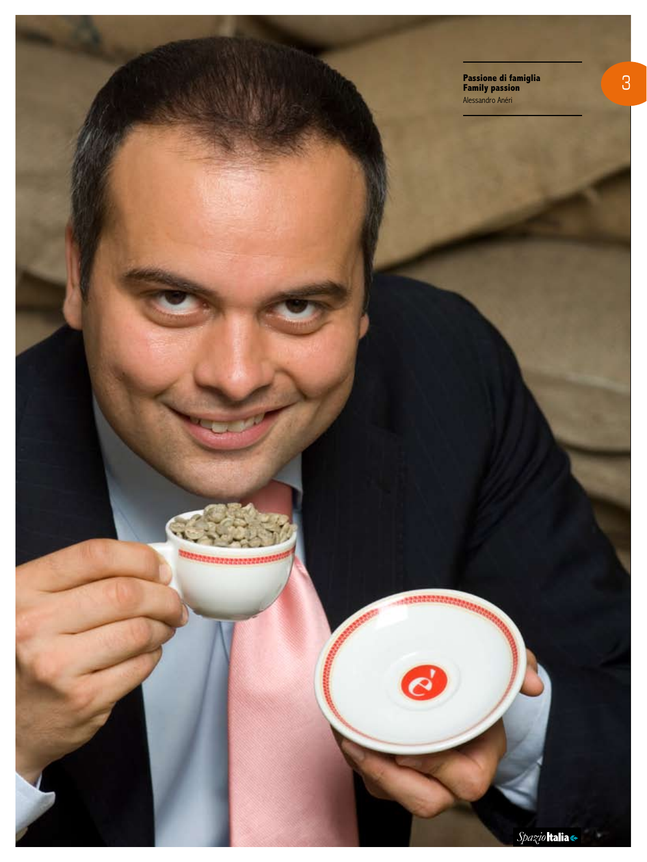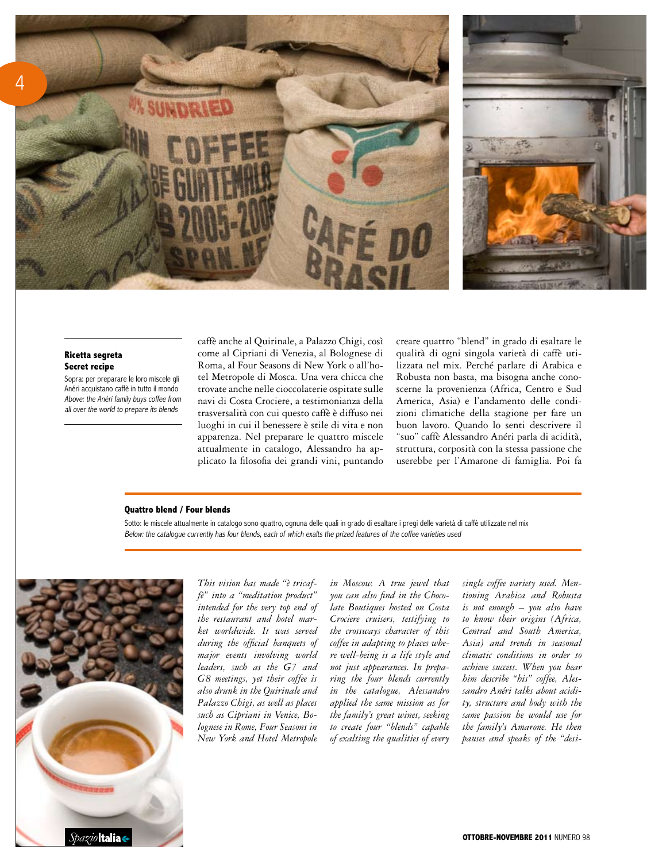![](_page_2_Picture_0.jpeg)

# **Ricetta segreta Secret recipe**

Sopra: per preparare le loro miscele gli Anéri acquistano caffè in tutto il mondo Above: the Anéri family buys coffee from all over the world to prepare its blends

caffè anche al Quirinale, a Palazzo Chigi, così come al Cipriani di Venezia, al Bolognese di Roma, al Four Seasons di New York o all'hotel Metropole di Mosca. Una vera chicca che trovate anche nelle cioccolaterie ospitate sulle navi di Costa Crociere, a testimonianza della trasversalità con cui questo caffè è diffuso nei luoghi in cui il benessere è stile di vita e non apparenza. Nel preparare le quattro miscele attualmente in catalogo, Alessandro ha applicato la filosofia dei grandi vini, puntando

creare quattro "blend" in grado di esaltare le qualità di ogni singola varietà di caffè utilizzata nel mix. Perché parlare di Arabica e Robusta non basta, ma bisogna anche conoscerne la provenienza (Africa, Centro e Sud America, Asia) e l'andamento delle condizioni climatiche della stagione per fare un buon lavoro. Quando lo senti descrivere il "suo" caffè Alessandro Anéri parla di acidità, struttura, corposità con la stessa passione che userebbe per l'Amarone di famiglia. Poi fa

### **Quattro blend / Four blends**

Sotto: le miscele attualmente in catalogo sono quattro, ognuna delle quali in grado di esaltare i pregi delle varietà di caffè utilizzate nel mix Below: the catalogue currently has four blends, each of which exalts the prized features of the coffee varieties used

![](_page_2_Picture_7.jpeg)

*This vision has made "è tricaffè" into a "meditation product" intended for the very top end of the restaurant and hotel market worldwide. It was served during the official banquets of major events involving world leaders, such as the G7 and G8 meetings, yet their coffee is also drunk in the Quirinale and Palazzo Chigi, as well as places such as Cipriani in Venice, Bolognese in Rome, Four Seasons in New York and Hotel Metropole* 

*in Moscow. A true jewel that you can also find in the Chocolate Boutiques hosted on Costa Crociere cruisers, testifying to the crossways character of this coffee in adapting to places where well-being is a life style and not just appearances. In preparing the four blends currently in the catalogue, Alessandro applied the same mission as for the family's great wines, seeking to create four "blends" capable of exalting the qualities of every* 

*single coffee variety used. Mentioning Arabica and Robusta is not enough – you also have to know their origins (Africa, Central and South America, Asia) and trends in seasonal climatic conditions in order to achieve success. When you hear him describe "his" coffee, Alessandro Anéri talks about acidity, structure and body with the same passion he would use for the family's Amarone. He then pauses and speaks of the "desi-*